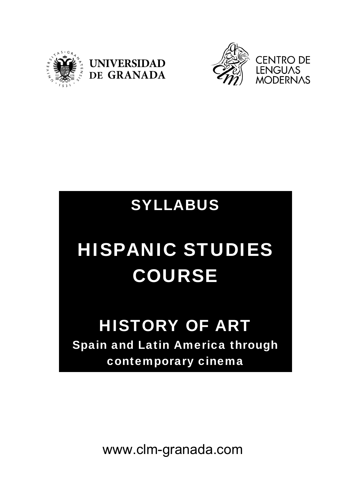





## SYLLABUS

# HISPANIC STUDIES COURSE

### HISTORY OF ART Spain and Latin America through contemporary cinema

www.clm-granada.com